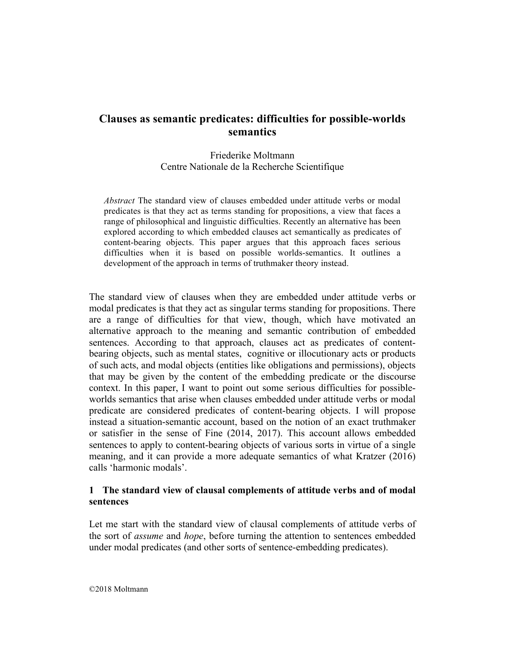Friederike Moltmann Centre Nationale de la Recherche Scientifique

*Abstract* The standard view of clauses embedded under attitude verbs or modal predicates is that they act as terms standing for propositions, a view that faces a range of philosophical and linguistic difficulties. Recently an alternative has been explored according to which embedded clauses act semantically as predicates of content-bearing objects. This paper argues that this approach faces serious difficulties when it is based on possible worlds-semantics. It outlines a development of the approach in terms of truthmaker theory instead.

The standard view of clauses when they are embedded under attitude verbs or modal predicates is that they act as singular terms standing for propositions. There are a range of difficulties for that view, though, which have motivated an alternative approach to the meaning and semantic contribution of embedded sentences. According to that approach, clauses act as predicates of contentbearing objects, such as mental states, cognitive or illocutionary acts or products of such acts, and modal objects (entities like obligations and permissions), objects that may be given by the content of the embedding predicate or the discourse context. In this paper, I want to point out some serious difficulties for possibleworlds semantics that arise when clauses embedded under attitude verbs or modal predicate are considered predicates of content-bearing objects. I will propose instead a situation-semantic account, based on the notion of an exact truthmaker or satisfier in the sense of Fine (2014, 2017). This account allows embedded sentences to apply to content-bearing objects of various sorts in virtue of a single meaning, and it can provide a more adequate semantics of what Kratzer (2016) calls 'harmonic modals'.

## **1 The standard view of clausal complements of attitude verbs and of modal sentences**

Let me start with the standard view of clausal complements of attitude verbs of the sort of *assume* and *hope*, before turning the attention to sentences embedded under modal predicates (and other sorts of sentence-embedding predicates).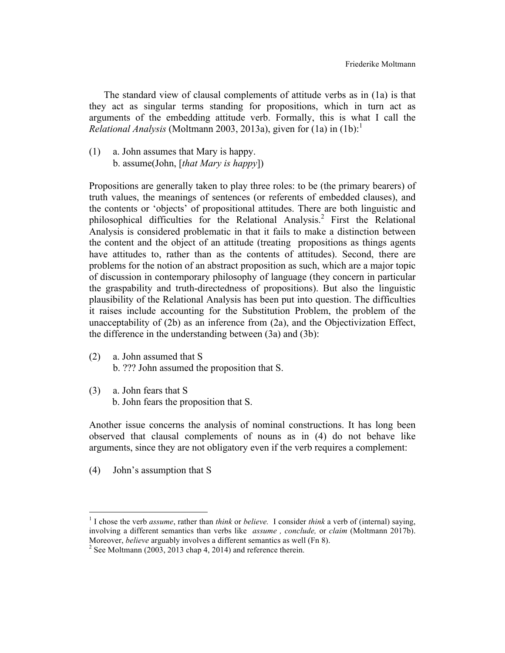The standard view of clausal complements of attitude verbs as in (1a) is that they act as singular terms standing for propositions, which in turn act as arguments of the embedding attitude verb. Formally, this is what I call the *Relational Analysis* (Moltmann 2003, 2013a), given for  $(1a)$  in  $(1b)$ :

(1) a. John assumes that Mary is happy. b. assume(John, [*that Mary is happy*])

Propositions are generally taken to play three roles: to be (the primary bearers) of truth values, the meanings of sentences (or referents of embedded clauses), and the contents or 'objects' of propositional attitudes. There are both linguistic and philosophical difficulties for the Relational Analysis. <sup>2</sup> First the Relational Analysis is considered problematic in that it fails to make a distinction between the content and the object of an attitude (treating propositions as things agents have attitudes to, rather than as the contents of attitudes). Second, there are problems for the notion of an abstract proposition as such, which are a major topic of discussion in contemporary philosophy of language (they concern in particular the graspability and truth-directedness of propositions). But also the linguistic plausibility of the Relational Analysis has been put into question. The difficulties it raises include accounting for the Substitution Problem, the problem of the unacceptability of (2b) as an inference from (2a), and the Objectivization Effect, the difference in the understanding between (3a) and (3b):

- (2) a. John assumed that S b. ??? John assumed the proposition that S.
- (3) a. John fears that S b. John fears the proposition that S.

Another issue concerns the analysis of nominal constructions. It has long been observed that clausal complements of nouns as in (4) do not behave like arguments, since they are not obligatory even if the verb requires a complement:

(4) John's assumption that S

<u> 1989 - Johann Stein, markin film yn y breninn y breninn y breninn y breninn y breninn y breninn y breninn y b</u>

<sup>1</sup> I chose the verb *assume*, rather than *think* or *believe.* I consider *think* a verb of (internal) saying, involving a different semantics than verbs like *assume , conclude,* or *claim* (Moltmann 2017b). Moreover, *believe* arguably involves a different semantics as well (Fn 8).<br><sup>2</sup> See Moltmann (2003, 2013 chap 4, 2014) and reference therein.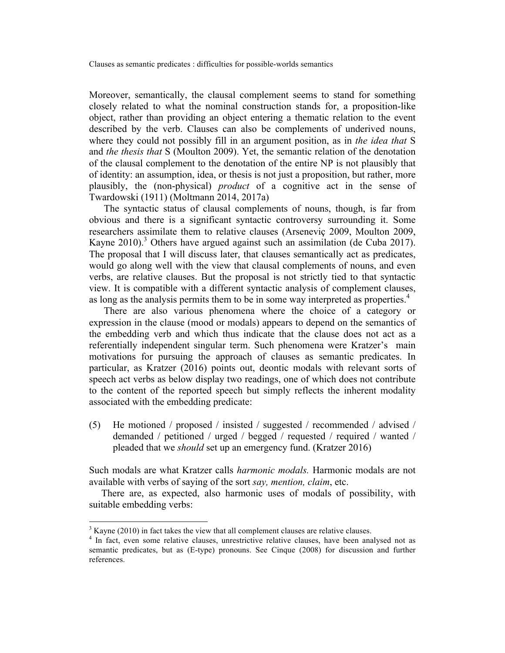Moreover, semantically, the clausal complement seems to stand for something closely related to what the nominal construction stands for, a proposition-like object, rather than providing an object entering a thematic relation to the event described by the verb. Clauses can also be complements of underived nouns, where they could not possibly fill in an argument position, as in *the idea that* S and *the thesis that* S (Moulton 2009). Yet, the semantic relation of the denotation of the clausal complement to the denotation of the entire NP is not plausibly that of identity: an assumption, idea, or thesis is not just a proposition, but rather, more plausibly, the (non-physical) *product* of a cognitive act in the sense of Twardowski (1911) (Moltmann 2014, 2017a)

 The syntactic status of clausal complements of nouns, though, is far from obvious and there is a significant syntactic controversy surrounding it. Some researchers assimilate them to relative clauses (Arseneviç 2009, Moulton 2009, Kayne 2010).<sup>3</sup> Others have argued against such an assimilation (de Cuba 2017). The proposal that I will discuss later, that clauses semantically act as predicates, would go along well with the view that clausal complements of nouns, and even verbs, are relative clauses. But the proposal is not strictly tied to that syntactic view. It is compatible with a different syntactic analysis of complement clauses, as long as the analysis permits them to be in some way interpreted as properties. 4

 There are also various phenomena where the choice of a category or expression in the clause (mood or modals) appears to depend on the semantics of the embedding verb and which thus indicate that the clause does not act as a referentially independent singular term. Such phenomena were Kratzer's main motivations for pursuing the approach of clauses as semantic predicates. In particular, as Kratzer (2016) points out, deontic modals with relevant sorts of speech act verbs as below display two readings, one of which does not contribute to the content of the reported speech but simply reflects the inherent modality associated with the embedding predicate:

(5) He motioned / proposed / insisted / suggested / recommended / advised / demanded / petitioned / urged / begged / requested / required / wanted / pleaded that we *should* set up an emergency fund. (Kratzer 2016)

Such modals are what Kratzer calls *harmonic modals.* Harmonic modals are not available with verbs of saying of the sort *say, mention, claim*, etc.

 There are, as expected, also harmonic uses of modals of possibility, with suitable embedding verbs:

 $3$  Kayne (2010) in fact takes the view that all complement clauses are relative clauses.

<sup>&</sup>lt;sup>4</sup> In fact, even some relative clauses, unrestrictive relative clauses, have been analysed not as semantic predicates, but as (E-type) pronouns. See Cinque (2008) for discussion and further references.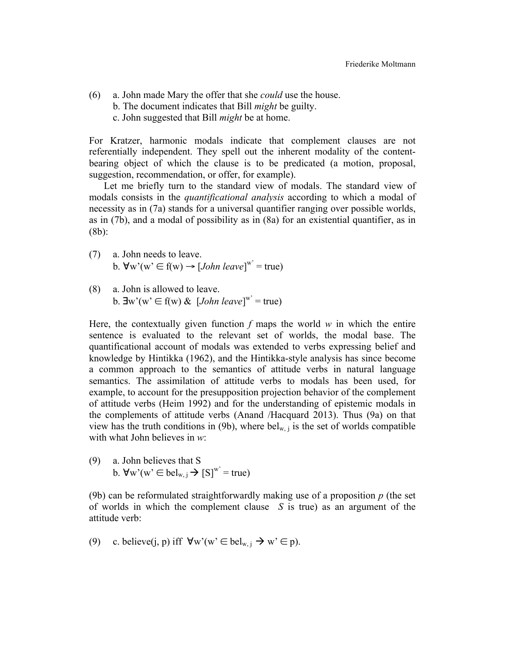(6) a. John made Mary the offer that she *could* use the house. b. The document indicates that Bill *might* be guilty. c. John suggested that Bill *might* be at home.

For Kratzer, harmonic modals indicate that complement clauses are not referentially independent. They spell out the inherent modality of the contentbearing object of which the clause is to be predicated (a motion, proposal, suggestion, recommendation, or offer, for example).

 Let me briefly turn to the standard view of modals. The standard view of modals consists in the *quantificational analysis* according to which a modal of necessity as in (7a) stands for a universal quantifier ranging over possible worlds, as in (7b), and a modal of possibility as in (8a) for an existential quantifier, as in (8b):

- (7) a. John needs to leave. b.  $\forall w'(w' \in f(w) \rightarrow [John \text{ leave}]^{w'}$  = true)
- (8) a. John is allowed to leave. b.  $\exists w'(w' \in f(w) \& [John \text{ leave}]^{w'} = true)$

Here, the contextually given function *f* maps the world *w* in which the entire sentence is evaluated to the relevant set of worlds, the modal base. The quantificational account of modals was extended to verbs expressing belief and knowledge by Hintikka (1962), and the Hintikka-style analysis has since become a common approach to the semantics of attitude verbs in natural language semantics. The assimilation of attitude verbs to modals has been used, for example, to account for the presupposition projection behavior of the complement of attitude verbs (Heim 1992) and for the understanding of epistemic modals in the complements of attitude verbs (Anand /Hacquard 2013). Thus (9a) on that view has the truth conditions in (9b), where bel<sub>w, i</sub> is the set of worlds compatible with what John believes in *w*:

(9) a. John believes that S b.  $\forall w'(w' \in \text{bel}_{w, j} \rightarrow [S]^{w'} = \text{true})$ 

(9b) can be reformulated straightforwardly making use of a proposition *p* (the set of worlds in which the complement clause *S* is true) as an argument of the attitude verb:

(9) c. believe(j, p) iff 
$$
\forall w'(w' \in bel_{w,j} \rightarrow w' \in p)
$$
.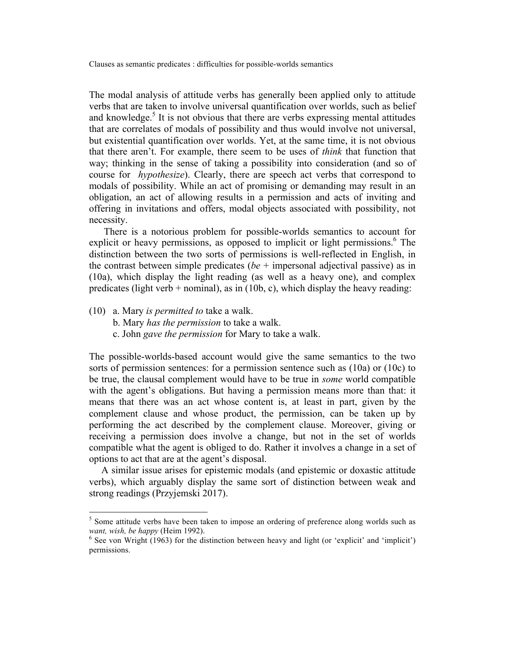The modal analysis of attitude verbs has generally been applied only to attitude verbs that are taken to involve universal quantification over worlds, such as belief and knowledge.<sup>5</sup> It is not obvious that there are verbs expressing mental attitudes that are correlates of modals of possibility and thus would involve not universal, but existential quantification over worlds. Yet, at the same time, it is not obvious that there aren't. For example, there seem to be uses of *think* that function that way; thinking in the sense of taking a possibility into consideration (and so of course for *hypothesize*). Clearly, there are speech act verbs that correspond to modals of possibility. While an act of promising or demanding may result in an obligation, an act of allowing results in a permission and acts of inviting and offering in invitations and offers, modal objects associated with possibility, not necessity.

 There is a notorious problem for possible-worlds semantics to account for explicit or heavy permissions, as opposed to implicit or light permissions.<sup>6</sup> The distinction between the two sorts of permissions is well-reflected in English, in the contrast between simple predicates (*be* + impersonal adjectival passive) as in (10a), which display the light reading (as well as a heavy one), and complex predicates (light verb + nominal), as in  $(10b, c)$ , which display the heavy reading:

(10) a. Mary *is permitted to* take a walk.

<u> 1989 - Johann Stein, fransk politik (d. 1989)</u>

- b. Mary *has the permission* to take a walk.
- c. John *gave the permission* for Mary to take a walk.

The possible-worlds-based account would give the same semantics to the two sorts of permission sentences: for a permission sentence such as (10a) or (10c) to be true, the clausal complement would have to be true in *some* world compatible with the agent's obligations. But having a permission means more than that: it means that there was an act whose content is, at least in part, given by the complement clause and whose product, the permission, can be taken up by performing the act described by the complement clause. Moreover, giving or receiving a permission does involve a change, but not in the set of worlds compatible what the agent is obliged to do. Rather it involves a change in a set of options to act that are at the agent's disposal.

 A similar issue arises for epistemic modals (and epistemic or doxastic attitude verbs), which arguably display the same sort of distinction between weak and strong readings (Przyjemski 2017).

<sup>&</sup>lt;sup>5</sup> Some attitude verbs have been taken to impose an ordering of preference along worlds such as *want, wish, be happy* (Heim 1992).<br><sup>6</sup> See von Wright (1963) for the distinction between heavy and light (or 'explicit' and 'implicit')

permissions.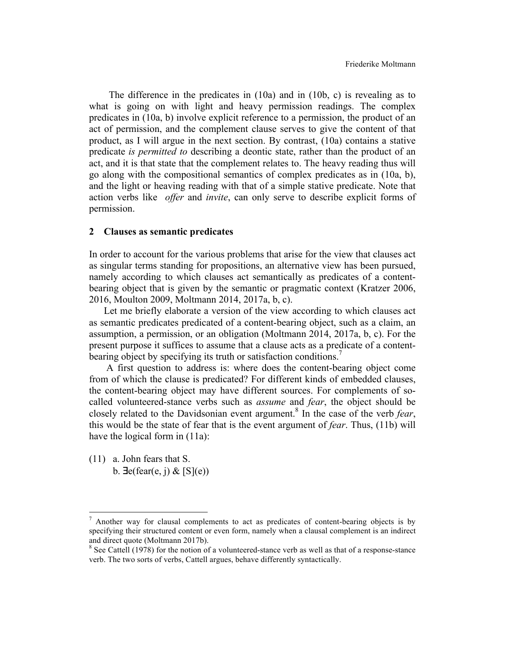The difference in the predicates in (10a) and in (10b, c) is revealing as to what is going on with light and heavy permission readings. The complex predicates in (10a, b) involve explicit reference to a permission, the product of an act of permission, and the complement clause serves to give the content of that product, as I will argue in the next section. By contrast, (10a) contains a stative predicate *is permitted to* describing a deontic state, rather than the product of an act, and it is that state that the complement relates to. The heavy reading thus will go along with the compositional semantics of complex predicates as in (10a, b), and the light or heaving reading with that of a simple stative predicate. Note that action verbs like *offer* and *invite*, can only serve to describe explicit forms of permission.

#### **2 Clauses as semantic predicates**

In order to account for the various problems that arise for the view that clauses act as singular terms standing for propositions, an alternative view has been pursued, namely according to which clauses act semantically as predicates of a contentbearing object that is given by the semantic or pragmatic context (Kratzer 2006, 2016, Moulton 2009, Moltmann 2014, 2017a, b, c).

 Let me briefly elaborate a version of the view according to which clauses act as semantic predicates predicated of a content-bearing object, such as a claim, an assumption, a permission, or an obligation (Moltmann 2014, 2017a, b, c). For the present purpose it suffices to assume that a clause acts as a predicate of a contentbearing object by specifying its truth or satisfaction conditions.<sup>7</sup>

 A first question to address is: where does the content-bearing object come from of which the clause is predicated? For different kinds of embedded clauses, the content-bearing object may have different sources. For complements of socalled volunteered-stance verbs such as *assume* and *fear*, the object should be closely related to the Davidsonian event argument. <sup>8</sup> In the case of the verb *fear*, this would be the state of fear that is the event argument of *fear*. Thus, (11b) will have the logical form in  $(11a)$ :

(11) a. John fears that S. b.  $\exists e$ (fear(e, j) & [S](e))

 $\frac{7}{7}$  Another way for clausal complements to act as predicates of content-bearing objects is by specifying their structured content or even form, namely when a clausal complement is an indirect and direct quote (Moltmann 2017b).

<sup>&</sup>lt;sup>8</sup> See Cattell (1978) for the notion of a volunteered-stance verb as well as that of a response-stance verb. The two sorts of verbs, Cattell argues, behave differently syntactically.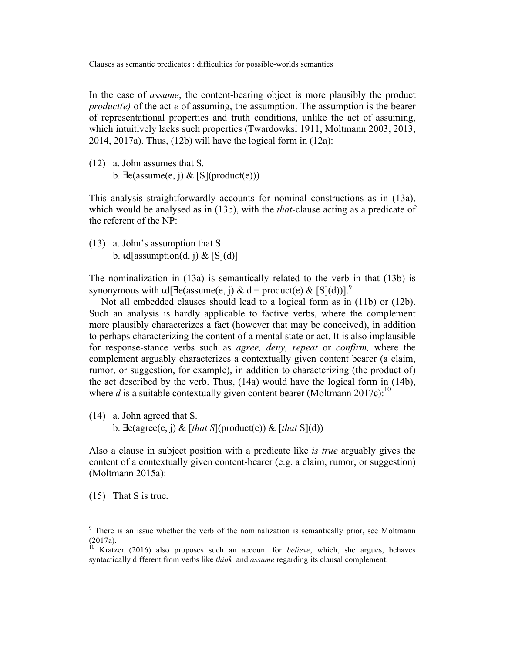In the case of *assume*, the content-bearing object is more plausibly the product *product(e)* of the act *e* of assuming, the assumption. The assumption is the bearer of representational properties and truth conditions, unlike the act of assuming, which intuitively lacks such properties (Twardowksi 1911, Moltmann 2003, 2013,  $2014$ ,  $2017a$ ). Thus,  $(12b)$  will have the logical form in  $(12a)$ :

(12) a. John assumes that S. b.  $\exists$ e(assume(e, j) & [S](product(e)))

This analysis straightforwardly accounts for nominal constructions as in (13a), which would be analysed as in (13b), with the *that*-clause acting as a predicate of the referent of the NP:

(13) a. John's assumption that S b.  $\text{Id}$ [assumption(d, j) & [S](d)]

The nominalization in (13a) is semantically related to the verb in that (13b) is synonymous with  $\text{Id}[\exists e(\text{assume}(e, i) \& d = \text{product}(e) \& [S](d))]$ .<sup>9</sup>

 Not all embedded clauses should lead to a logical form as in (11b) or (12b). Such an analysis is hardly applicable to factive verbs, where the complement more plausibly characterizes a fact (however that may be conceived), in addition to perhaps characterizing the content of a mental state or act. It is also implausible for response-stance verbs such as *agree, deny, repeat* or *confirm,* where the complement arguably characterizes a contextually given content bearer (a claim, rumor, or suggestion, for example), in addition to characterizing (the product of) the act described by the verb. Thus, (14a) would have the logical form in (14b), where  $d$  is a suitable contextually given content bearer (Moltmann 2017c):<sup>10</sup>

(14) a. John agreed that S.

b. ∃e(agree(e, j) & [*that S*](product(e)) & [*that* S](d))

Also a clause in subject position with a predicate like *is true* arguably gives the content of a contextually given content-bearer (e.g. a claim, rumor, or suggestion) (Moltmann 2015a):

(15) That S is true.

 $9<sup>9</sup>$  There is an issue whether the verb of the nominalization is semantically prior, see Moltmann (2017a).

<sup>10</sup> Kratzer (2016) also proposes such an account for *believe*, which, she argues, behaves syntactically different from verbs like *think* and *assume* regarding its clausal complement.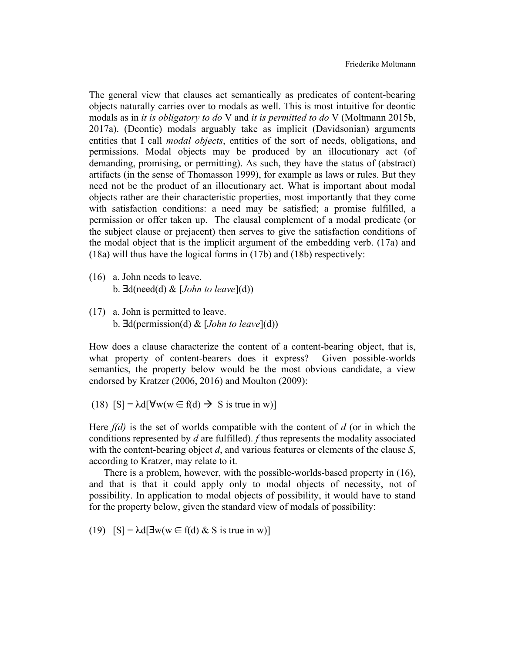The general view that clauses act semantically as predicates of content-bearing objects naturally carries over to modals as well. This is most intuitive for deontic modals as in *it is obligatory to do* V and *it is permitted to do* V (Moltmann 2015b, 2017a). (Deontic) modals arguably take as implicit (Davidsonian) arguments entities that I call *modal objects*, entities of the sort of needs, obligations, and permissions. Modal objects may be produced by an illocutionary act (of demanding, promising, or permitting). As such, they have the status of (abstract) artifacts (in the sense of Thomasson 1999), for example as laws or rules. But they need not be the product of an illocutionary act. What is important about modal objects rather are their characteristic properties, most importantly that they come with satisfaction conditions: a need may be satisfied; a promise fulfilled, a permission or offer taken up. The clausal complement of a modal predicate (or the subject clause or prejacent) then serves to give the satisfaction conditions of the modal object that is the implicit argument of the embedding verb. (17a) and (18a) will thus have the logical forms in (17b) and (18b) respectively:

- (16) a. John needs to leave. b. ∃d(need(d) & [*John to leave*](d))
- (17) a. John is permitted to leave. b. ∃d(permission(d) & [*John to leave*](d))

How does a clause characterize the content of a content-bearing object, that is, what property of content-bearers does it express? Given possible-worlds semantics, the property below would be the most obvious candidate, a view endorsed by Kratzer (2006, 2016) and Moulton (2009):

(18)  $[S] = \lambda d[\forall w(w \in f(d) \rightarrow S \text{ is true in } w)]$ 

Here *f(d)* is the set of worlds compatible with the content of *d* (or in which the conditions represented by *d* are fulfilled). *f* thus represents the modality associated with the content-bearing object *d*, and various features or elements of the clause *S*, according to Kratzer, may relate to it.

 There is a problem, however, with the possible-worlds-based property in (16), and that is that it could apply only to modal objects of necessity, not of possibility. In application to modal objects of possibility, it would have to stand for the property below, given the standard view of modals of possibility:

(19)  $[S] = \lambda d[\exists w(w \in f(d) \& S \text{ is true in } w)]$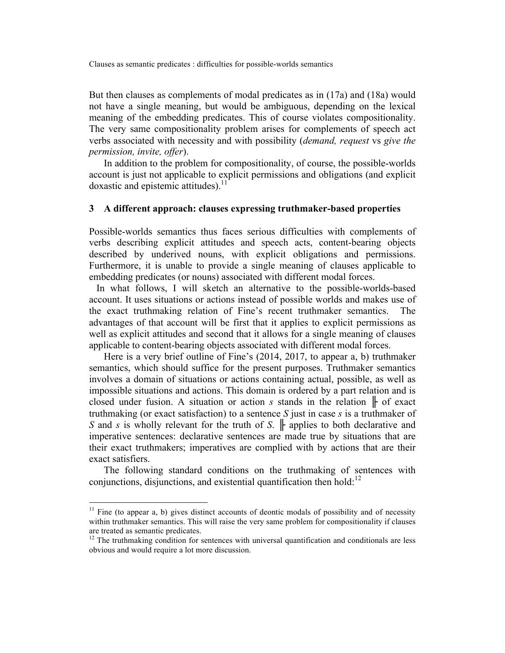But then clauses as complements of modal predicates as in (17a) and (18a) would not have a single meaning, but would be ambiguous, depending on the lexical meaning of the embedding predicates. This of course violates compositionality. The very same compositionality problem arises for complements of speech act verbs associated with necessity and with possibility (*demand, request* vs *give the permission, invite, offer*).

 In addition to the problem for compositionality, of course, the possible-worlds account is just not applicable to explicit permissions and obligations (and explicit doxastic and epistemic attitudes).<sup>11</sup>

#### **3 A different approach: clauses expressing truthmaker-based properties**

Possible-worlds semantics thus faces serious difficulties with complements of verbs describing explicit attitudes and speech acts, content-bearing objects described by underived nouns, with explicit obligations and permissions. Furthermore, it is unable to provide a single meaning of clauses applicable to embedding predicates (or nouns) associated with different modal forces.

 In what follows, I will sketch an alternative to the possible-worlds-based account. It uses situations or actions instead of possible worlds and makes use of the exact truthmaking relation of Fine's recent truthmaker semantics. The advantages of that account will be first that it applies to explicit permissions as well as explicit attitudes and second that it allows for a single meaning of clauses applicable to content-bearing objects associated with different modal forces.

 Here is a very brief outline of Fine's (2014, 2017, to appear a, b) truthmaker semantics, which should suffice for the present purposes. Truthmaker semantics involves a domain of situations or actions containing actual, possible, as well as impossible situations and actions. This domain is ordered by a part relation and is closed under fusion. A situation or action *s* stands in the relation ⊩ of exact truthmaking (or exact satisfaction) to a sentence *S* just in case *s* is a truthmaker of *S* and *s* is wholly relevant for the truth of *S*.  $\|$  applies to both declarative and imperative sentences: declarative sentences are made true by situations that are their exact truthmakers; imperatives are complied with by actions that are their exact satisfiers.

 The following standard conditions on the truthmaking of sentences with conjunctions, disjunctions, and existential quantification then hold:<sup>12</sup>

 $11$  Fine (to appear a, b) gives distinct accounts of deontic modals of possibility and of necessity within truthmaker semantics. This will raise the very same problem for compositionality if clauses are treated as semantic predicates.

 $12$  The truthmaking condition for sentences with universal quantification and conditionals are less obvious and would require a lot more discussion.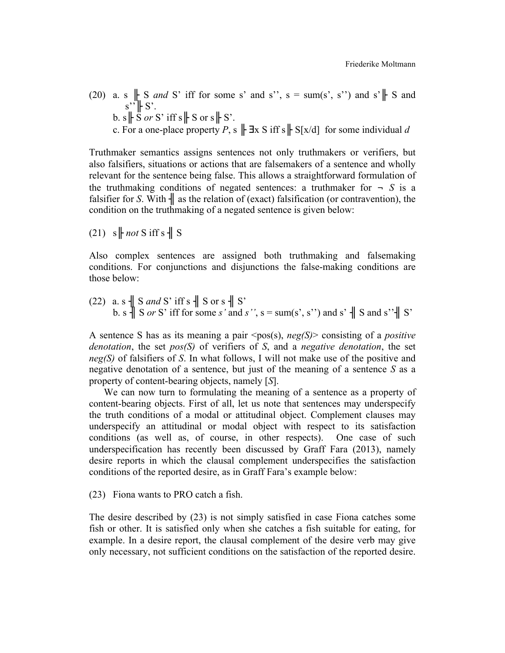- (20) a. s  $\parallel$  S *and* S' iff for some s' and s'', s = sum(s', s'') and s' $\parallel$  S and  $s'' \nightharpoonup S'.$ 
	- b.  $s \nightharpoonup S$  *or* S' iff  $s \nightharpoonup S$  or  $s \nightharpoonup S$ .
	- c. For a one-place property *P*, s  $\|\exists x \in S$  iff s  $\|\cdot S[x/d]\|$  for some individual *d*

Truthmaker semantics assigns sentences not only truthmakers or verifiers, but also falsifiers, situations or actions that are falsemakers of a sentence and wholly relevant for the sentence being false. This allows a straightforward formulation of the truthmaking conditions of negated sentences: a truthmaker for  $\neg S$  is a falsifier for *S*. With  $\parallel$  as the relation of (exact) falsification (or contravention), the condition on the truthmaking of a negated sentence is given below:

 $(21)$  s  $\parallel$  *not* S iff s  $\parallel$  S

Also complex sentences are assigned both truthmaking and falsemaking conditions. For conjunctions and disjunctions the false-making conditions are those below:

 $(22)$  a. s  $\parallel$  S *and* S' iff s  $\parallel$  S or s  $\parallel$  S' b. s  $\parallel$  S *or* S' iff for some *s*' and *s*'', s = sum(s', s'') and s'  $\parallel$  S and s'' $\parallel$  S'

A sentence S has as its meaning a pair  $\langle pos(s), neg(s)\rangle$  consisting of a *positive denotation*, the set *pos(S)* of verifiers of *S*, and a *negative denotation*, the set *neg(S)* of falsifiers of *S*. In what follows, I will not make use of the positive and negative denotation of a sentence, but just of the meaning of a sentence *S* as a property of content-bearing objects, namely [*S*].

 We can now turn to formulating the meaning of a sentence as a property of content-bearing objects. First of all, let us note that sentences may underspecify the truth conditions of a modal or attitudinal object. Complement clauses may underspecify an attitudinal or modal object with respect to its satisfaction conditions (as well as, of course, in other respects). One case of such underspecification has recently been discussed by Graff Fara (2013), namely desire reports in which the clausal complement underspecifies the satisfaction conditions of the reported desire, as in Graff Fara's example below:

#### (23) Fiona wants to PRO catch a fish.

The desire described by (23) is not simply satisfied in case Fiona catches some fish or other. It is satisfied only when she catches a fish suitable for eating, for example. In a desire report, the clausal complement of the desire verb may give only necessary, not sufficient conditions on the satisfaction of the reported desire.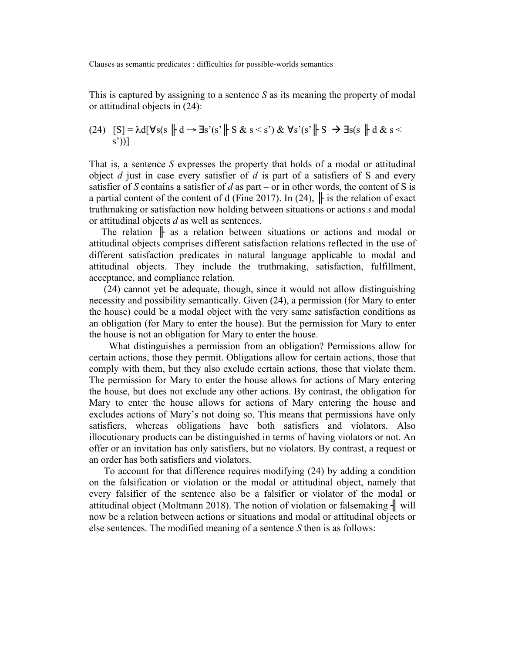This is captured by assigning to a sentence *S* as its meaning the property of modal or attitudinal objects in (24):

(24) 
$$
[S] = \lambda d[\forall s(s \parallel d \rightarrow \exists s'(s' \parallel S \& s < s') \& \forall s'(s' \parallel S \rightarrow \exists s(s \parallel d \& s < s'))]
$$

That is, a sentence *S* expresses the property that holds of a modal or attitudinal object *d* just in case every satisfier of *d* is part of a satisfiers of S and every satisfier of *S* contains a satisfier of *d* as part – or in other words, the content of *S* is a partial content of the content of d (Fine 2017). In (24),  $\|$  is the relation of exact truthmaking or satisfaction now holding between situations or actions *s* and modal or attitudinal objects *d* as well as sentences.

The relation  $\|$  as a relation between situations or actions and modal or attitudinal objects comprises different satisfaction relations reflected in the use of different satisfaction predicates in natural language applicable to modal and attitudinal objects. They include the truthmaking, satisfaction, fulfillment, acceptance, and compliance relation.

 (24) cannot yet be adequate, though, since it would not allow distinguishing necessity and possibility semantically. Given (24), a permission (for Mary to enter the house) could be a modal object with the very same satisfaction conditions as an obligation (for Mary to enter the house). But the permission for Mary to enter the house is not an obligation for Mary to enter the house.

 What distinguishes a permission from an obligation? Permissions allow for certain actions, those they permit. Obligations allow for certain actions, those that comply with them, but they also exclude certain actions, those that violate them. The permission for Mary to enter the house allows for actions of Mary entering the house, but does not exclude any other actions. By contrast, the obligation for Mary to enter the house allows for actions of Mary entering the house and excludes actions of Mary's not doing so. This means that permissions have only satisfiers, whereas obligations have both satisfiers and violators. Also illocutionary products can be distinguished in terms of having violators or not. An offer or an invitation has only satisfiers, but no violators. By contrast, a request or an order has both satisfiers and violators.

 To account for that difference requires modifying (24) by adding a condition on the falsification or violation or the modal or attitudinal object, namely that every falsifier of the sentence also be a falsifier or violator of the modal or attitudinal object (Moltmann 2018). The notion of violation or falsemaking  $\parallel$  will now be a relation between actions or situations and modal or attitudinal objects or else sentences. The modified meaning of a sentence *S* then is as follows: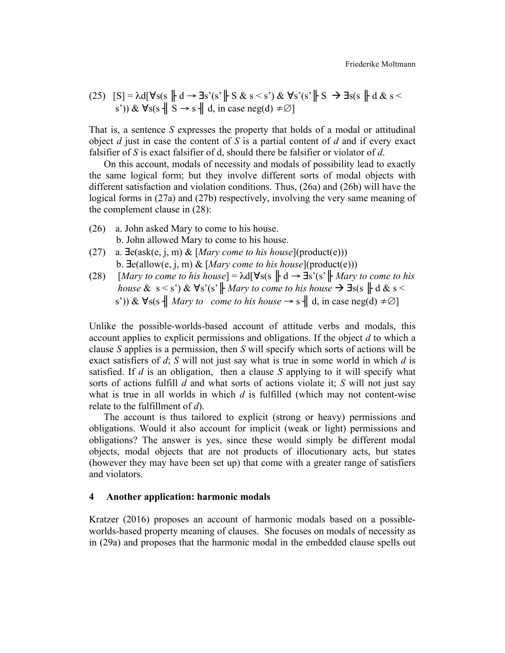(25) 
$$
[S] = \lambda d[\forall s(s \parallel d \rightarrow \exists s'(s' \parallel S & s < s') \& \forall s'(s' \parallel S \rightarrow \exists s(s \parallel d \& s < s')) \& \forall s(s \parallel S \rightarrow s \parallel d, \text{ in case neg}(d) \neq \emptyset]
$$

That is, a sentence *S* expresses the property that holds of a modal or attitudinal object *d* just in case the content of *S* is a partial content of *d* and if every exact falsifier of *S* is exact falsifier of d, should there be falsifier or violator of *d*.

 On this account, modals of necessity and modals of possibility lead to exactly the same logical form; but they involve different sorts of modal objects with different satisfaction and violation conditions. Thus, (26a) and (26b) will have the logical forms in (27a) and (27b) respectively, involving the very same meaning of the complement clause in (28):

- (26) a. John asked Mary to come to his house. b. John allowed Mary to come to his house.
- (27) a. ∃e(ask(e, j, m) & [*Mary come to his house*](product(e))) b. ∃e(allow(e, j, m) & [*Mary come to his house*](product(e)))
- (28)  $[Mary to come to his house] = \lambda d[\forall s(s \parallel d \rightarrow \exists s'(s' \parallel Mary to come to his$ *house*  $\&$  s < s')  $\&$   $\forall$ s'(s'  $\parallel$ *Mary to come to his house*  $\rightarrow \exists s(s \parallel d \& s$ s')) &  $\forall s(s \parallel Mary \ to \ come \ to \ his \ house \rightarrow s \parallel d, \text{ in case neg}(d) \neq \emptyset$

Unlike the possible-worlds-based account of attitude verbs and modals, this account applies to explicit permissions and obligations. If the object *d* to which a clause *S* applies is a permission, then *S* will specify which sorts of actions will be exact satisfiers of *d*; *S* will not just say what is true in some world in which *d* is satisfied. If *d* is an obligation, then a clause *S* applying to it will specify what sorts of actions fulfill *d* and what sorts of actions violate it; *S* will not just say what is true in all worlds in which *d* is fulfilled (which may not content-wise relate to the fulfillment of *d*).

 The account is thus tailored to explicit (strong or heavy) permissions and obligations. Would it also account for implicit (weak or light) permissions and obligations? The answer is yes, since these would simply be different modal objects, modal objects that are not products of illocutionary acts, but states (however they may have been set up) that come with a greater range of satisfiers and violators.

#### **4 Another application: harmonic modals**

Kratzer (2016) proposes an account of harmonic modals based on a possibleworlds-based property meaning of clauses. She focuses on modals of necessity as in (29a) and proposes that the harmonic modal in the embedded clause spells out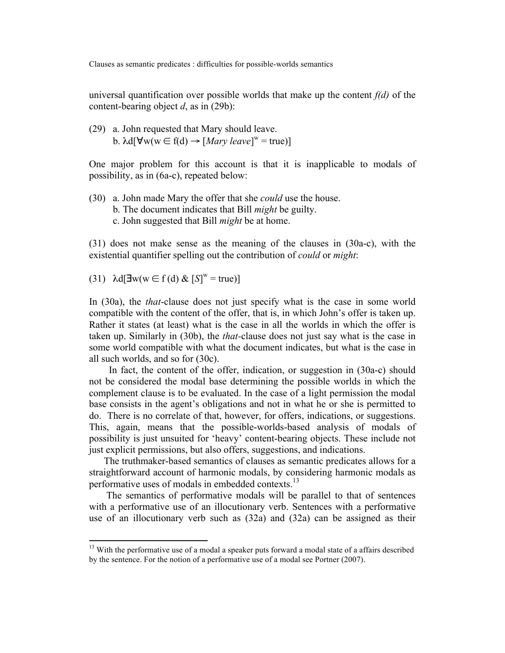universal quantification over possible worlds that make up the content *f(d)* of the content-bearing object *d*, as in (29b):

(29) a. John requested that Mary should leave. b.  $\lambda d[\forall w(w \in f(d) \rightarrow [Mary \text{ leave}]^w = true)]$ 

One major problem for this account is that it is inapplicable to modals of possibility, as in (6a-c), repeated below:

(30) a. John made Mary the offer that she *could* use the house. b. The document indicates that Bill *might* be guilty. c. John suggested that Bill *might* be at home.

(31) does not make sense as the meaning of the clauses in (30a-c), with the existential quantifier spelling out the contribution of *could* or *might*:

(31) 
$$
\lambda d[\exists w(w \in f(d) \& [S]^w = true)]
$$

<u> 1989 - Johann Stein, fransk politik (d. 1989)</u>

In (30a), the *that*-clause does not just specify what is the case in some world compatible with the content of the offer, that is, in which John's offer is taken up. Rather it states (at least) what is the case in all the worlds in which the offer is taken up. Similarly in (30b), the *that-*clause does not just say what is the case in some world compatible with what the document indicates, but what is the case in all such worlds, and so for (30c).

 In fact, the content of the offer, indication, or suggestion in (30a-c) should not be considered the modal base determining the possible worlds in which the complement clause is to be evaluated. In the case of a light permission the modal base consists in the agent's obligations and not in what he or she is permitted to do. There is no correlate of that, however, for offers, indications, or suggestions. This, again, means that the possible-worlds-based analysis of modals of possibility is just unsuited for 'heavy' content-bearing objects. These include not just explicit permissions, but also offers, suggestions, and indications.

 The truthmaker-based semantics of clauses as semantic predicates allows for a straightforward account of harmonic modals, by considering harmonic modals as performative uses of modals in embedded contexts.<sup>13</sup>

 The semantics of performative modals will be parallel to that of sentences with a performative use of an illocutionary verb. Sentences with a performative use of an illocutionary verb such as (32a) and (32a) can be assigned as their

 $13$  With the performative use of a modal a speaker puts forward a modal state of a affairs described by the sentence. For the notion of a performative use of a modal see Portner (2007).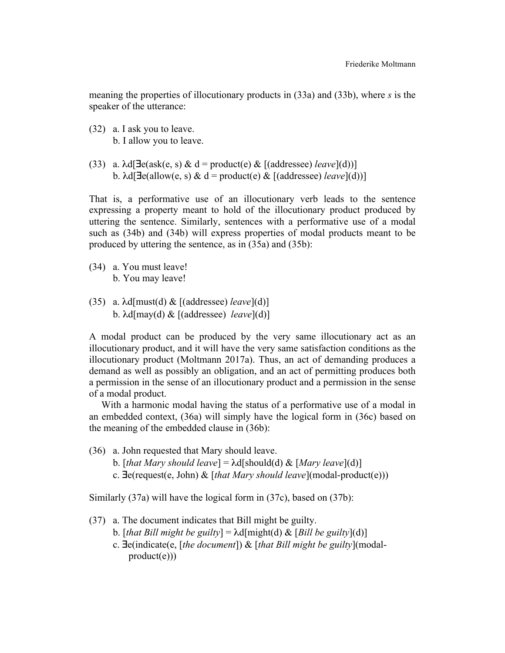meaning the properties of illocutionary products in (33a) and (33b), where *s* is the speaker of the utterance:

- (32) a. I ask you to leave. b. I allow you to leave.
- (33) a.  $\lambda d[\exists e (ask(e, s) \& d = product(e) \& [(addressee) \text{ } leave](d))]$ b.  $\lambda d[\exists e(\text{allow}(e, s) \& d = \text{product}(e) \& [(\text{address}(e)) \& \text{leave}](d))]$

That is, a performative use of an illocutionary verb leads to the sentence expressing a property meant to hold of the illocutionary product produced by uttering the sentence. Similarly, sentences with a performative use of a modal such as (34b) and (34b) will express properties of modal products meant to be produced by uttering the sentence, as in (35a) and (35b):

- (34) a. You must leave! b. You may leave!
- (35) a. λd[must(d) & [(addressee) *leave*](d)] b. λd[may(d) & [(addressee) *leave*](d)]

A modal product can be produced by the very same illocutionary act as an illocutionary product, and it will have the very same satisfaction conditions as the illocutionary product (Moltmann 2017a). Thus, an act of demanding produces a demand as well as possibly an obligation, and an act of permitting produces both a permission in the sense of an illocutionary product and a permission in the sense of a modal product.

 With a harmonic modal having the status of a performative use of a modal in an embedded context, (36a) will simply have the logical form in (36c) based on the meaning of the embedded clause in (36b):

(36) a. John requested that Mary should leave. b. [*that Mary should leave*] = λd[should(d) & [*Mary leave*](d)] c. ∃e(request(e, John) & [*that Mary should leave*](modal-product(e)))

Similarly (37a) will have the logical form in (37c), based on (37b):

- (37) a. The document indicates that Bill might be guilty.
	- b. *[that Bill might be guilty]* =  $\lambda$ d[might(d) & *[Bill be guilty*](d)]
	- c. ∃e(indicate(e, [*the document*]) & [*that Bill might be guilty*](modal  $product(e))$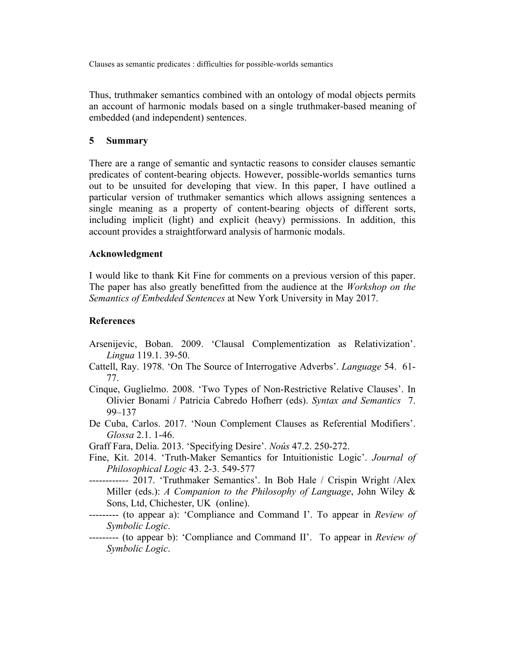Thus, truthmaker semantics combined with an ontology of modal objects permits an account of harmonic modals based on a single truthmaker-based meaning of embedded (and independent) sentences.

### **5 Summary**

There are a range of semantic and syntactic reasons to consider clauses semantic predicates of content-bearing objects. However, possible-worlds semantics turns out to be unsuited for developing that view. In this paper, I have outlined a particular version of truthmaker semantics which allows assigning sentences a single meaning as a property of content-bearing objects of different sorts, including implicit (light) and explicit (heavy) permissions. In addition, this account provides a straightforward analysis of harmonic modals.

#### **Acknowledgment**

I would like to thank Kit Fine for comments on a previous version of this paper. The paper has also greatly benefitted from the audience at the *Workshop on the Semantics of Embedded Sentences* at New York University in May 2017.

#### **References**

- Arsenijevic, Boban. 2009. 'Clausal Complementization as Relativization'. *Lingua* 119.1. 39-50.
- Cattell, Ray. 1978. 'On The Source of Interrogative Adverbs'. *Language* 54. 61- 77.
- Cinque, Guglielmo. 2008. 'Two Types of Non-Restrictive Relative Clauses'. In Olivier Bonami / Patricia Cabredo Hofherr (eds). *Syntax and Semantics* 7. 99–137
- De Cuba, Carlos. 2017. 'Noun Complement Clauses as Referential Modifiers'. *Glossa* 2.1. 1-46.

Graff Fara, Delia. 2013. 'Specifying Desire'. *Noûs* 47.2. 250-272.

- Fine, Kit. 2014. 'Truth-Maker Semantics for Intuitionistic Logic'. *Journal of Philosophical Logic* 43. 2-3. 549-577
- ------------ 2017. 'Truthmaker Semantics'. In Bob Hale / Crispin Wright /Alex Miller (eds.): *A Companion to the Philosophy of Language*, John Wiley & Sons, Ltd, Chichester, UK (online).
- --------- (to appear a): 'Compliance and Command I'. To appear in *Review of Symbolic Logic*.
- --------- (to appear b): 'Compliance and Command II'. To appear in *Review of Symbolic Logic*.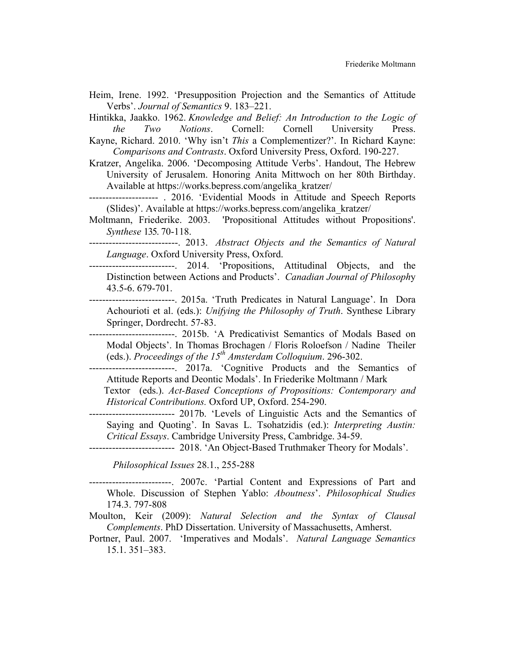- Heim, Irene. 1992. 'Presupposition Projection and the Semantics of Attitude Verbs'. *Journal of Semantics* 9. 183–221.
- Hintikka, Jaakko. 1962. *Knowledge and Belief: An Introduction to the Logic of the Two Notions*. Cornell: Cornell University Press.
- Kayne, Richard. 2010. 'Why isn't *This* a Complementizer?'. In Richard Kayne: *Comparisons and Contrasts*. Oxford University Press, Oxford. 190-227.
- Kratzer, Angelika. 2006. 'Decomposing Attitude Verbs'. Handout, The Hebrew University of Jerusalem. Honoring Anita Mittwoch on her 80th Birthday. Available at https://works.bepress.com/angelika\_kratzer/
- --------------------- . 2016. 'Evidential Moods in Attitude and Speech Reports (Slides)'. Available at https://works.bepress.com/angelika\_kratzer/
- Moltmann, Friederike. 2003. 'Propositional Attitudes without Propositions'. *Synthese* 135. 70-118.
- ---------------------------. 2013. *Abstract Objects and the Semantics of Natural Language*. Oxford University Press, Oxford.
- --------------------------. 2014. 'Propositions, Attitudinal Objects, and the Distinction between Actions and Products'. *Canadian Journal of Philosoph*y 43.5-6. 679-701.
- --------------------------. 2015a. 'Truth Predicates in Natural Language'. In Dora Achourioti et al. (eds.): *Unifying the Philosophy of Truth*. Synthese Library Springer, Dordrecht. 57-83.
- --------------------------. 2015b. 'A Predicativist Semantics of Modals Based on Modal Objects'. In Thomas Brochagen / Floris Roloefson / Nadine Theiler (eds.). *Proceedings of the 15th Amsterdam Colloquium*. 296-302.
- ---------------------------. 2017a. 'Cognitive Products and the Semantics of Attitude Reports and Deontic Modals'. In Friederike Moltmann / Mark
	- Textor (eds.). *Act-Based Conceptions of Propositions: Contemporary and Historical Contributions.* Oxford UP, Oxford. 254-290.
- -------------------------- 2017b. 'Levels of Linguistic Acts and the Semantics of Saying and Quoting'. In Savas L. Tsohatzidis (ed.): *Interpreting Austin: Critical Essays*. Cambridge University Press, Cambridge. 34-59.
- -------------------------- 2018. 'An Object-Based Truthmaker Theory for Modals'.

*Philosophical Issues* 28.1., 255-288

-------------------------. 2007c. 'Partial Content and Expressions of Part and Whole. Discussion of Stephen Yablo: *Aboutness*'. *Philosophical Studies*  174.3. 797-808

- Moulton, Keir (2009): *Natural Selection and the Syntax of Clausal Complements*. PhD Dissertation. University of Massachusetts, Amherst.
- Portner, Paul. 2007. 'Imperatives and Modals'. *Natural Language Semantics* 15.1. 351–383.